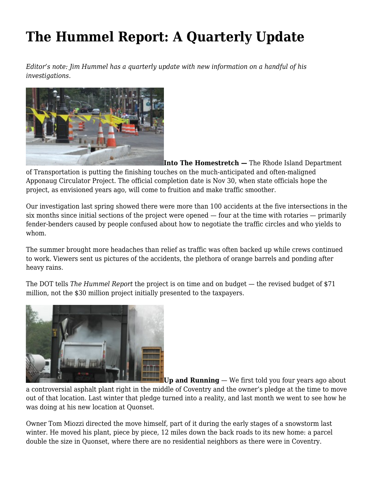## **[The Hummel Report: A Quarterly Update](https://motifri.com/hummelocti17/)**

*Editor's note: Jim Hummel has a quarterly update with new information on a handful of his investigations.*



**Into The Homestretch —** The Rhode Island Department of Transportation is putting the finishing touches on the much-anticipated and often-maligned Apponaug Circulator Project. The official completion date is Nov 30, when state officials hope the project, as envisioned years ago, will come to fruition and make traffic smoother.

Our investigation last spring showed there were more than 100 accidents at the five intersections in the six months since initial sections of the project were opened — four at the time with rotaries — primarily fender-benders caused by people confused about how to negotiate the traffic circles and who yields to whom.

The summer brought more headaches than relief as traffic was often backed up while crews continued to work. Viewers sent us pictures of the accidents, the plethora of orange barrels and ponding after heavy rains.

The DOT tells *The Hummel Report* the project is on time and on budget — the revised budget of \$71 million, not the \$30 million project initially presented to the taxpayers.



**Up and Running** — We first told you four years ago about

a controversial asphalt plant right in the middle of Coventry and the owner's pledge at the time to move out of that location. Last winter that pledge turned into a reality, and last month we went to see how he was doing at his new location at Quonset.

Owner Tom Miozzi directed the move himself, part of it during the early stages of a snowstorm last winter. He moved his plant, piece by piece, 12 miles down the back roads to its new home: a parcel double the size in Quonset, where there are no residential neighbors as there were in Coventry.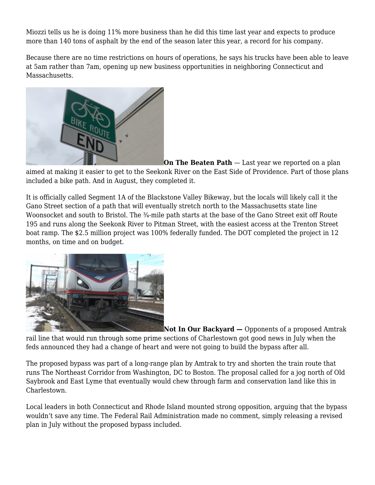Miozzi tells us he is doing 11% more business than he did this time last year and expects to produce more than 140 tons of asphalt by the end of the season later this year, a record for his company.

Because there are no time restrictions on hours of operations, he says his trucks have been able to leave at 5am rather than 7am, opening up new business opportunities in neighboring Connecticut and Massachusetts.



**On The Beaten Path** — Last year we reported on a plan aimed at making it easier to get to the Seekonk River on the East Side of Providence. Part of those plans included a bike path. And in August, they completed it.

It is officially called Segment 1A of the Blackstone Valley Bikeway, but the locals will likely call it the Gano Street section of a path that will eventually stretch north to the Massachusetts state line Woonsocket and south to Bristol. The ¼-mile path starts at the base of the Gano Street exit off Route 195 and runs along the Seekonk River to Pitman Street, with the easiest access at the Trenton Street boat ramp. The \$2.5 million project was 100% federally funded. The DOT completed the project in 12 months, on time and on budget.



**Not In Our Backyard —** Opponents of a proposed Amtrak rail line that would run through some prime sections of Charlestown got good news in July when the feds announced they had a change of heart and were not going to build the bypass after all.

The proposed bypass was part of a long-range plan by Amtrak to try and shorten the train route that runs The Northeast Corridor from Washington, DC to Boston. The proposal called for a jog north of Old Saybrook and East Lyme that eventually would chew through farm and conservation land like this in Charlestown.

Local leaders in both Connecticut and Rhode Island mounted strong opposition, arguing that the bypass wouldn't save any time. The Federal Rail Administration made no comment, simply releasing a revised plan in July without the proposed bypass included.